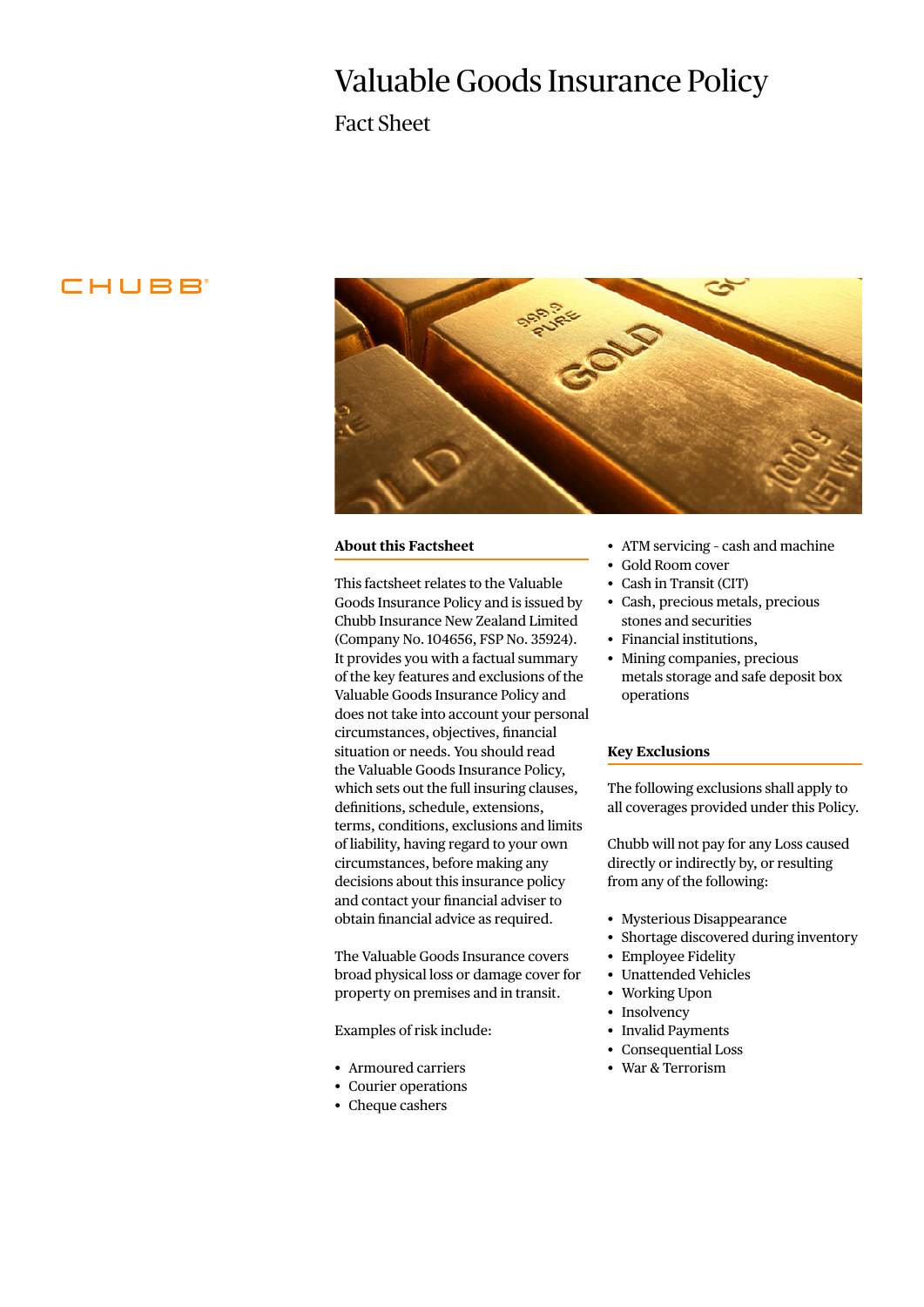# Valuable Goods Insurance Policy

Fact Sheet

## CHUBB



#### **About this Factsheet**

This factsheet relates to the Valuable Goods Insurance Policy and is issued by Chubb Insurance New Zealand Limited (Company No. 104656, FSP No. 35924). It provides you with a factual summary of the key features and exclusions of the Valuable Goods Insurance Policy and does not take into account your personal circumstances, objectives, financial situation or needs. You should read the Valuable Goods Insurance Policy, which sets out the full insuring clauses, definitions, schedule, extensions, terms, conditions, exclusions and limits of liability, having regard to your own circumstances, before making any decisions about this insurance policy and contact your financial adviser to obtain financial advice as required.

The Valuable Goods Insurance covers broad physical loss or damage cover for property on premises and in transit.

Examples of risk include:

- Armoured carriers
- Courier operations
- Cheque cashers
- ATM servicing cash and machine
- Gold Room cover
- Cash in Transit (CIT)
- Cash, precious metals, precious stones and securities
- Financial institutions,
- Mining companies, precious metals storage and safe deposit box operations

#### **Key Exclusions**

The following exclusions shall apply to all coverages provided under this Policy.

Chubb will not pay for any Loss caused directly or indirectly by, or resulting from any of the following:

- Mysterious Disappearance
- Shortage discovered during inventory
- Employee Fidelity
- Unattended Vehicles
- Working Upon
- Insolvency
- Invalid Payments
- Consequential Loss
- War & Terrorism